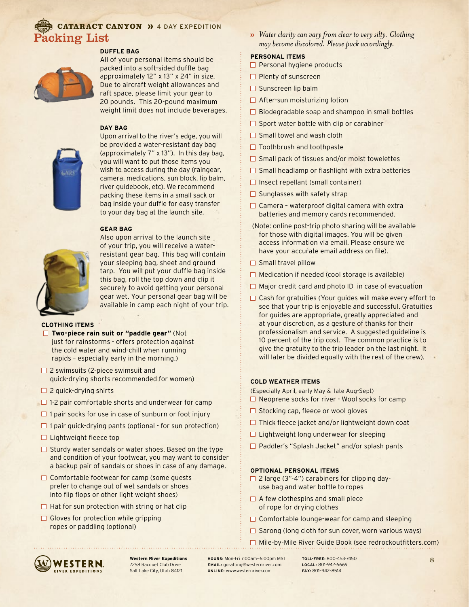### CATARACT CANYON >>> 4 DAY EXPEDITION acking List

#### **DUFFLE BAG**



All of your personal items should be packed into a soft-sided duffle bag approximately 12" x 13" x 24" in size. Due to aircraft weight allowances and raft space, please limit your gear to 20 pounds. This 20-pound maximum weight limit does not include beverages.

#### **DAY BAG**



Upon arrival to the river's edge, you will be provided a water-resistant day bag (approximately 7" x 13"). In this day bag, you will want to put those items you wish to access during the day (raingear, camera, medications, sun block, lip balm, river guidebook, etc). We recommend packing these items in a small sack or bag inside your duffle for easy transfer to your day bag at the launch site.

#### **GEAR BAG**



Also upon arrival to the launch site of your trip, you will receive a waterresistant gear bag. This bag will contain your sleeping bag, sheet and ground tarp. You will put your duffle bag inside this bag, roll the top down and clip it securely to avoid getting your personal gear wet. Your personal gear bag will be available in camp each night of your trip.

#### **CLOTHING ITEMS**

- **Two-piece rain suit or "paddle gear"** (Not just for rainstorms - offers protection against the cold water and wind-chill when running rapids – especially early in the morning.)
- □ 2 swimsuits (2-piece swimsuit and quick-drying shorts recommended for women)
- $\Box$  2 quick-drying shirts
- $\Box$  1-2 pair comfortable shorts and underwear for camp
- $\Box$  1 pair socks for use in case of sunburn or foot injury
- $\Box$  1 pair quick-drying pants (optional for sun protection)
- $\Box$  Lightweight fleece top
- $\Box$  Sturdy water sandals or water shoes. Based on the type and condition of your footwear, you may want to consider a backup pair of sandals or shoes in case of any damage.
- $\Box$  Comfortable footwear for camp (some guests prefer to change out of wet sandals or shoes into flip flops or other light weight shoes)
- $\Box$  Hat for sun protection with string or hat clip
- $\Box$  Gloves for protection while gripping ropes or paddling (optional)

*Water clarity can vary from clear to very silty. Clothing may become discolored. Please pack accordingly.*

#### **PERSONAL ITEMS**

- $\Box$  Personal hygiene products
- $\Box$  Plenty of sunscreen
- $\square$  Sunscreen lip balm
- $\Box$  After-sun moisturizing lotion
- $\Box$  Biodegradable soap and shampoo in small bottles
- $\Box$  Sport water bottle with clip or carabiner
- $\Box$  Small towel and wash cloth
- $\Box$  Toothbrush and toothpaste
- $\square$  Small pack of tissues and/or moist towelettes
- $\Box$  Small headlamp or flashlight with extra batteries
- $\Box$  Insect repellant (small container)
- $\Box$  Sunglasses with safety strap
- $\Box$  Camera waterproof digital camera with extra batteries and memory cards recommended.
- (Note: online post-trip photo sharing will be available for those with digital images. You will be given access information via email. Please ensure we have your accurate email address on file).
- $\Box$  Small travel pillow
- $\Box$  Medication if needed (cool storage is available)
- $\Box$  Major credit card and photo ID in case of evacuation
- $\Box$  Cash for gratuities (Your guides will make every effort to see that your trip is enjoyable and successful. Gratuities for guides are appropriate, greatly appreciated and at your discretion, as a gesture of thanks for their professionalism and service. A suggested guideline is 10 percent of the trip cost. The common practice is to give the gratuity to the trip leader on the last night. It will later be divided equally with the rest of the crew).

#### **COLD WEATHER ITEMS**

(Especially April, early May & late Aug-Sept)

- $\Box$  Neoprene socks for river Wool socks for camp
- $\Box$  Stocking cap, fleece or wool gloves
- $\Box$  Thick fleece jacket and/or lightweight down coat
- □ Lightweight long underwear for sleeping
- □ Paddler's "Splash Jacket" and/or splash pants

#### **OPTIONAL PERSONAL ITEMS**

- $\Box$  2 large (3"-4") carabiners for clipping dayuse bag and water bottle to ropes
- $\Box$  A few clothespins and small piece of rope for drying clothes
- $\Box$  Comfortable lounge-wear for camp and sleeping
- $\Box$  Sarong (long cloth for sun cover, worn various ways)
- □ Mile-by-Mile River Guide Book (see redrockoutfitters.com)



**Western River Expeditions** 7258 Racquet Club Drive Salt Lake City, Utah 84121

**HOURS:** Mon-Fri 7:00am—6:00pm MST **EMAIL:** gorafting@westernriver.com **ONLINE:** www.westernriver.com

**TOLL-FREE:** 800-453-7450 **LOCAL:** 801-942-6669 **FAX:** 801–942–8514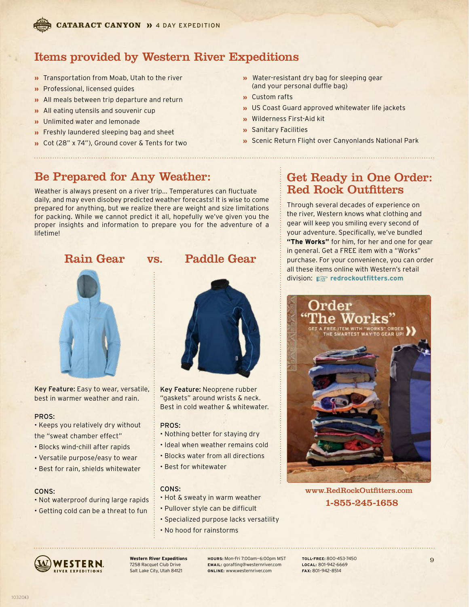

### Items provided by Western River Expeditions

- **D** Transportation from Moab, Utah to the river
- **»** Professional, licensed quides
- All meals between trip departure and return
- » All eating utensils and souvenir cup
- **»** Unlimited water and lemonade
- **»** Freshly laundered sleeping bag and sheet
- Cot (28" x 74"), Ground cover & Tents for two
- **w** Water-resistant dry bag for sleeping gear (and your personal duffle bag)
- Custom rafts
- **D** US Coast Guard approved whitewater life jackets
- Wilderness First-Aid kit
- Sanitary Facilities
- **»** Scenic Return Flight over Canyonlands National Park

### Be Prepared for Any Weather:

Weather is always present on a river trip... Temperatures can fluctuate daily, and may even disobey predicted weather forecasts! It is wise to come prepared for anything, but we realize there are weight and size limitations for packing. While we cannot predict it all, hopefully we've given you the proper insights and information to prepare you for the adventure of a lifetime!

### Rain Gear vs. Paddle Gear



Key Feature: Easy to wear, versatile, best in warmer weather and rain.

#### PROS:

- Keeps you relatively dry without the "sweat chamber effect"
- Blocks wind-chill after rapids
- Versatile purpose/easy to wear
- Best for rain, shields whitewater

#### CONS:

- Not waterproof during large rapids
- Getting cold can be a threat to fun



Key Feature: Neoprene rubber "gaskets" around wrists & neck. Best in cold weather & whitewater.

#### PROS:

- Nothing better for staying dry
- Ideal when weather remains cold
- Blocks water from all directions
- Best for whitewater

### CONS:

- Hot & sweaty in warm weather
- Pullover style can be difficult
- Specialized purpose lacks versatility
- No hood for rainstorms



**Western River Expeditions** 7258 Racquet Club Drive Salt Lake City, Utah 84121

**HOURS:** Mon-Fri 7:00am—6:00pm MST **EMAIL:** gorafting@westernriver.com **ONLINE:** www.westernriver.com

**TOLL-FREE:** 800-453-7450 **LOCAL:** 801-942-6669 **FAX:** 801–942–8514

### Get Ready in One Order: Red Rock Outfitters

Through several decades of experience on the river, Western knows what clothing and gear will keep you smiling every second of your adventure. Specifically, we've bundled **"The Works"** for him, for her and one for gear in general. Get a FREE item with a "Works" purchase. For your convenience, you can order all these items online with Western's retail division: ☞ **redrockoutfitters.com**



### www.RedRockOutfitters.com 1-855-245-1658